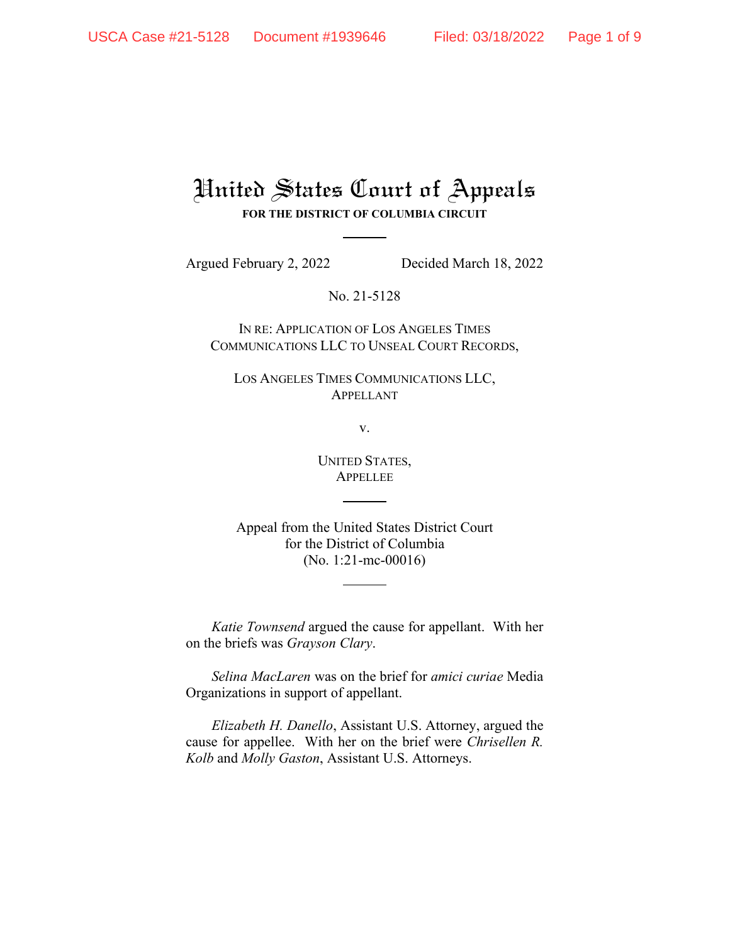## United States Court of Appeals **FOR THE DISTRICT OF COLUMBIA CIRCUIT**

Argued February 2, 2022 Decided March 18, 2022

No. 21-5128

IN RE: APPLICATION OF LOS ANGELES TIMES COMMUNICATIONS LLC TO UNSEAL COURT RECORDS,

LOS ANGELES TIMES COMMUNICATIONS LLC, APPELLANT

v.

UNITED STATES, APPELLEE

Appeal from the United States District Court for the District of Columbia (No. 1:21-mc-00016)

*Katie Townsend* argued the cause for appellant. With her on the briefs was *Grayson Clary*.

*Selina MacLaren* was on the brief for *amici curiae* Media Organizations in support of appellant.

*Elizabeth H. Danello*, Assistant U.S. Attorney, argued the cause for appellee. With her on the brief were *Chrisellen R. Kolb* and *Molly Gaston*, Assistant U.S. Attorneys.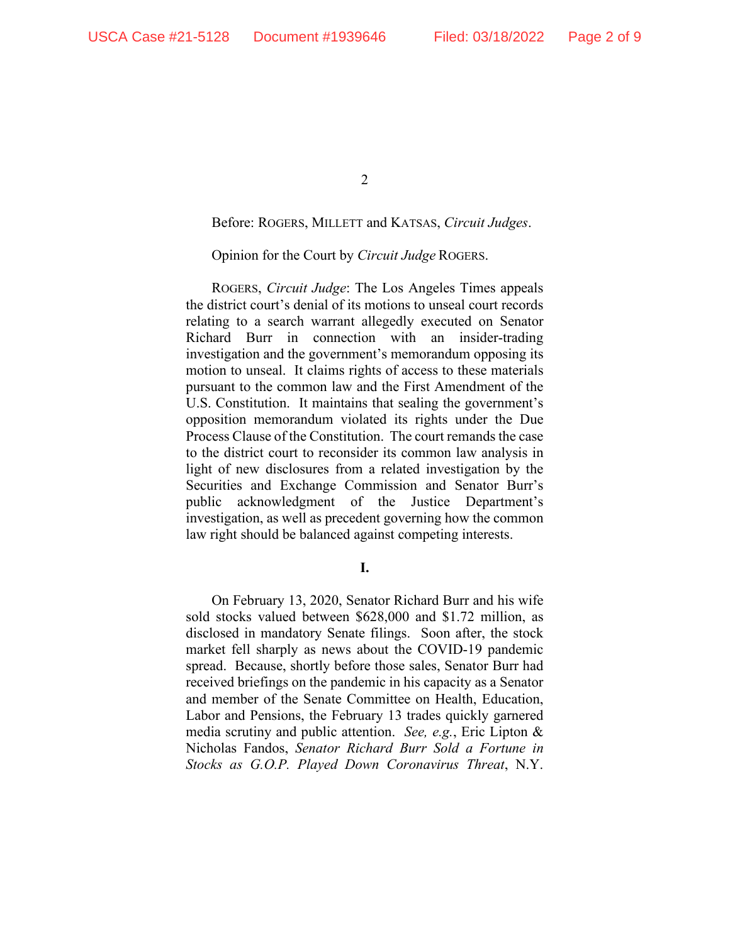## Before: ROGERS, MILLETT and KATSAS, *Circuit Judges*.

## Opinion for the Court by *Circuit Judge* ROGERS.

ROGERS, *Circuit Judge*: The Los Angeles Times appeals the district court's denial of its motions to unseal court records relating to a search warrant allegedly executed on Senator Richard Burr in connection with an insider-trading investigation and the government's memorandum opposing its motion to unseal. It claims rights of access to these materials pursuant to the common law and the First Amendment of the U.S. Constitution. It maintains that sealing the government's opposition memorandum violated its rights under the Due Process Clause of the Constitution. The court remands the case to the district court to reconsider its common law analysis in light of new disclosures from a related investigation by the Securities and Exchange Commission and Senator Burr's public acknowledgment of the Justice Department's investigation, as well as precedent governing how the common law right should be balanced against competing interests.

**I.**

On February 13, 2020, Senator Richard Burr and his wife sold stocks valued between \$628,000 and \$1.72 million, as disclosed in mandatory Senate filings. Soon after, the stock market fell sharply as news about the COVID-19 pandemic spread. Because, shortly before those sales, Senator Burr had received briefings on the pandemic in his capacity as a Senator and member of the Senate Committee on Health, Education, Labor and Pensions, the February 13 trades quickly garnered media scrutiny and public attention. *See, e.g.*, Eric Lipton & Nicholas Fandos, *Senator Richard Burr Sold a Fortune in Stocks as G.O.P. Played Down Coronavirus Threat*, N.Y.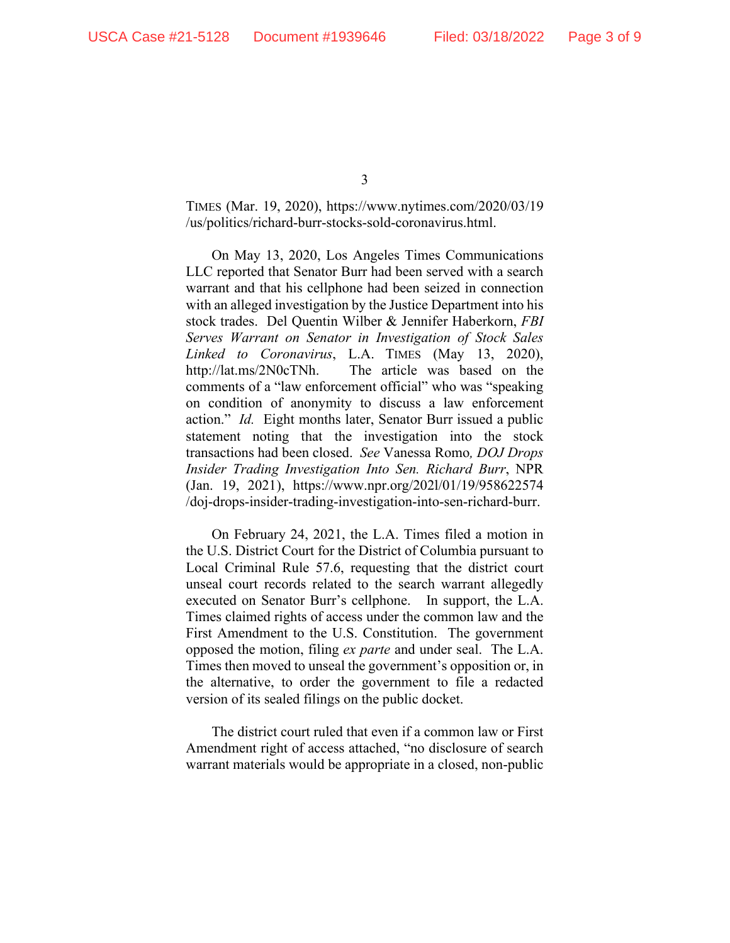TIMES (Mar. 19, 2020), https://www.nytimes.com/2020/03/19 /us/politics/richard-burr-stocks-sold-coronavirus.html.

On May 13, 2020, Los Angeles Times Communications LLC reported that Senator Burr had been served with a search warrant and that his cellphone had been seized in connection with an alleged investigation by the Justice Department into his stock trades. Del Quentin Wilber & Jennifer Haberkorn, *FBI Serves Warrant on Senator in Investigation of Stock Sales Linked to Coronavirus*, L.A. TIMES (May 13, 2020), http://lat.ms/2N0cTNh. The article was based on the comments of a "law enforcement official" who was "speaking on condition of anonymity to discuss a law enforcement action." *Id.* Eight months later, Senator Burr issued a public statement noting that the investigation into the stock transactions had been closed. *See* Vanessa Romo*, DOJ Drops Insider Trading Investigation Into Sen. Richard Burr*, NPR (Jan. 19, 2021), https://www.npr.org/202l/01/19/958622574 /doj-drops-insider-trading-investigation-into-sen-richard-burr.

On February 24, 2021, the L.A. Times filed a motion in the U.S. District Court for the District of Columbia pursuant to Local Criminal Rule 57.6, requesting that the district court unseal court records related to the search warrant allegedly executed on Senator Burr's cellphone. In support, the L.A. Times claimed rights of access under the common law and the First Amendment to the U.S. Constitution. The government opposed the motion, filing *ex parte* and under seal. The L.A. Times then moved to unseal the government's opposition or, in the alternative, to order the government to file a redacted version of its sealed filings on the public docket.

The district court ruled that even if a common law or First Amendment right of access attached, "no disclosure of search warrant materials would be appropriate in a closed, non-public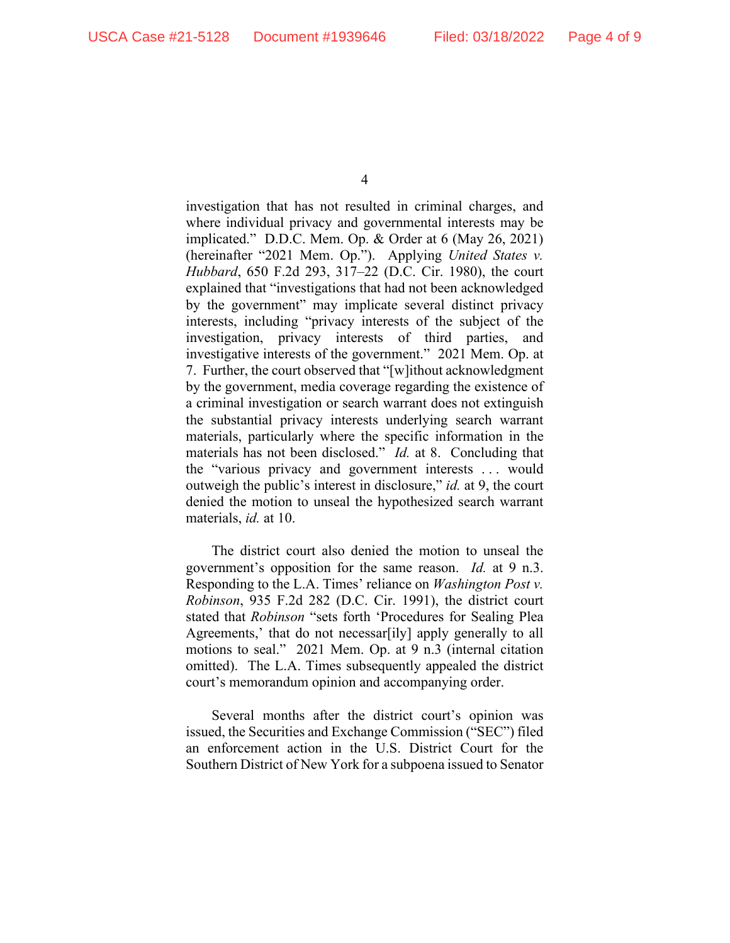investigation that has not resulted in criminal charges, and where individual privacy and governmental interests may be implicated." D.D.C. Mem. Op. & Order at 6 (May 26, 2021) (hereinafter "2021 Mem. Op."). Applying *United States v. Hubbard*, 650 F.2d 293, 317–22 (D.C. Cir. 1980), the court explained that "investigations that had not been acknowledged by the government" may implicate several distinct privacy interests, including "privacy interests of the subject of the investigation, privacy interests of third parties, and investigative interests of the government." 2021 Mem. Op. at 7. Further, the court observed that "[w]ithout acknowledgment by the government, media coverage regarding the existence of a criminal investigation or search warrant does not extinguish the substantial privacy interests underlying search warrant materials, particularly where the specific information in the materials has not been disclosed." *Id.* at 8. Concluding that the "various privacy and government interests . . . would outweigh the public's interest in disclosure," *id.* at 9, the court denied the motion to unseal the hypothesized search warrant materials, *id.* at 10.

The district court also denied the motion to unseal the government's opposition for the same reason. *Id.* at 9 n.3. Responding to the L.A. Times' reliance on *Washington Post v. Robinson*, 935 F.2d 282 (D.C. Cir. 1991), the district court stated that *Robinson* "sets forth 'Procedures for Sealing Plea Agreements,' that do not necessar[ily] apply generally to all motions to seal." 2021 Mem. Op. at 9 n.3 (internal citation omitted). The L.A. Times subsequently appealed the district court's memorandum opinion and accompanying order.

Several months after the district court's opinion was issued, the Securities and Exchange Commission ("SEC") filed an enforcement action in the U.S. District Court for the Southern District of New York for a subpoena issued to Senator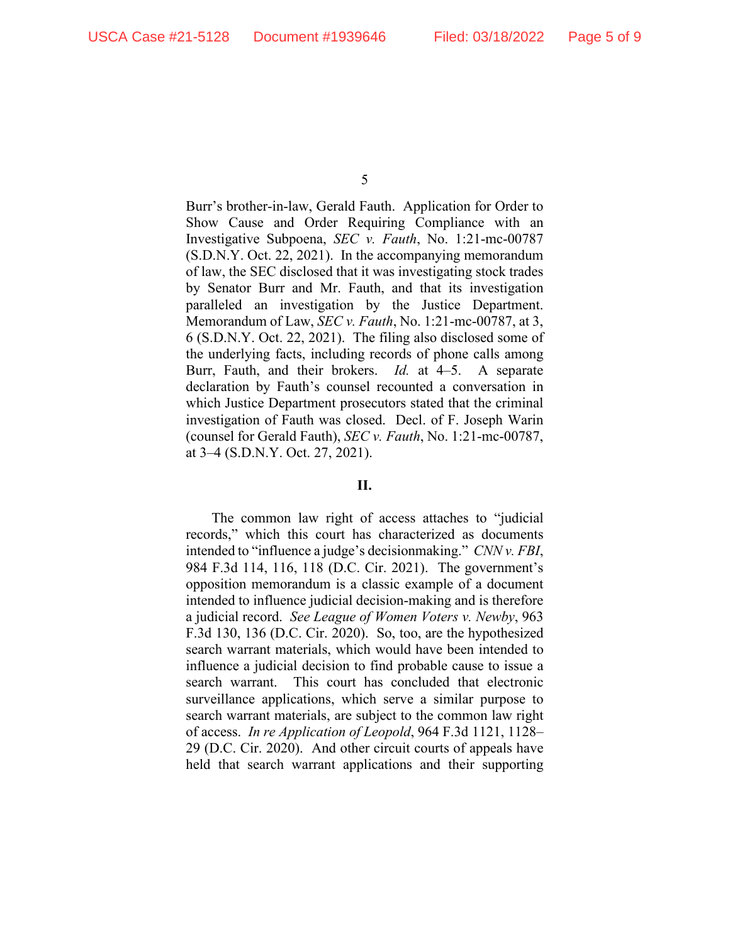Burr's brother-in-law, Gerald Fauth. Application for Order to Show Cause and Order Requiring Compliance with an Investigative Subpoena, *SEC v. Fauth*, No. 1:21-mc-00787 (S.D.N.Y. Oct. 22, 2021). In the accompanying memorandum of law, the SEC disclosed that it was investigating stock trades by Senator Burr and Mr. Fauth, and that its investigation paralleled an investigation by the Justice Department. Memorandum of Law, *SEC v. Fauth*, No. 1:21-mc-00787, at 3, 6 (S.D.N.Y. Oct. 22, 2021). The filing also disclosed some of the underlying facts, including records of phone calls among Burr, Fauth, and their brokers. *Id.* at 4–5. A separate declaration by Fauth's counsel recounted a conversation in which Justice Department prosecutors stated that the criminal investigation of Fauth was closed. Decl. of F. Joseph Warin (counsel for Gerald Fauth), *SEC v. Fauth*, No. 1:21-mc-00787, at 3–4 (S.D.N.Y. Oct. 27, 2021).

## **II.**

The common law right of access attaches to "judicial records," which this court has characterized as documents intended to "influence a judge's decisionmaking." *CNN v. FBI*, 984 F.3d 114, 116, 118 (D.C. Cir. 2021). The government's opposition memorandum is a classic example of a document intended to influence judicial decision-making and is therefore a judicial record. *See League of Women Voters v. Newby*, 963 F.3d 130, 136 (D.C. Cir. 2020). So, too, are the hypothesized search warrant materials, which would have been intended to influence a judicial decision to find probable cause to issue a search warrant. This court has concluded that electronic surveillance applications, which serve a similar purpose to search warrant materials, are subject to the common law right of access. *In re Application of Leopold*, 964 F.3d 1121, 1128– 29 (D.C. Cir. 2020). And other circuit courts of appeals have held that search warrant applications and their supporting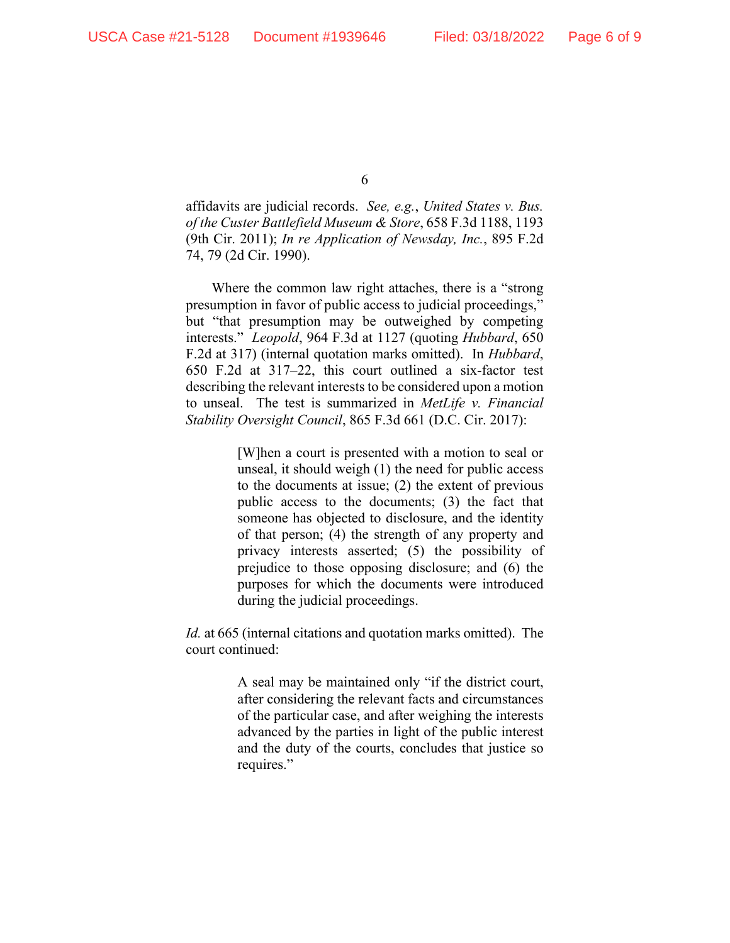affidavits are judicial records. *See, e.g.*, *United States v. Bus. of the Custer Battlefield Museum & Store*, 658 F.3d 1188, 1193 (9th Cir. 2011); *In re Application of Newsday, Inc.*, 895 F.2d 74, 79 (2d Cir. 1990).

Where the common law right attaches, there is a "strong presumption in favor of public access to judicial proceedings," but "that presumption may be outweighed by competing interests." *Leopold*, 964 F.3d at 1127 (quoting *Hubbard*, 650 F.2d at 317) (internal quotation marks omitted). In *Hubbard*, 650 F.2d at 317–22, this court outlined a six-factor test describing the relevant interests to be considered upon a motion to unseal. The test is summarized in *MetLife v. Financial Stability Oversight Council*, 865 F.3d 661 (D.C. Cir. 2017):

> [W]hen a court is presented with a motion to seal or unseal, it should weigh (1) the need for public access to the documents at issue; (2) the extent of previous public access to the documents; (3) the fact that someone has objected to disclosure, and the identity of that person; (4) the strength of any property and privacy interests asserted; (5) the possibility of prejudice to those opposing disclosure; and (6) the purposes for which the documents were introduced during the judicial proceedings.

*Id.* at 665 (internal citations and quotation marks omitted). The court continued:

> A seal may be maintained only "if the district court, after considering the relevant facts and circumstances of the particular case, and after weighing the interests advanced by the parties in light of the public interest and the duty of the courts, concludes that justice so requires."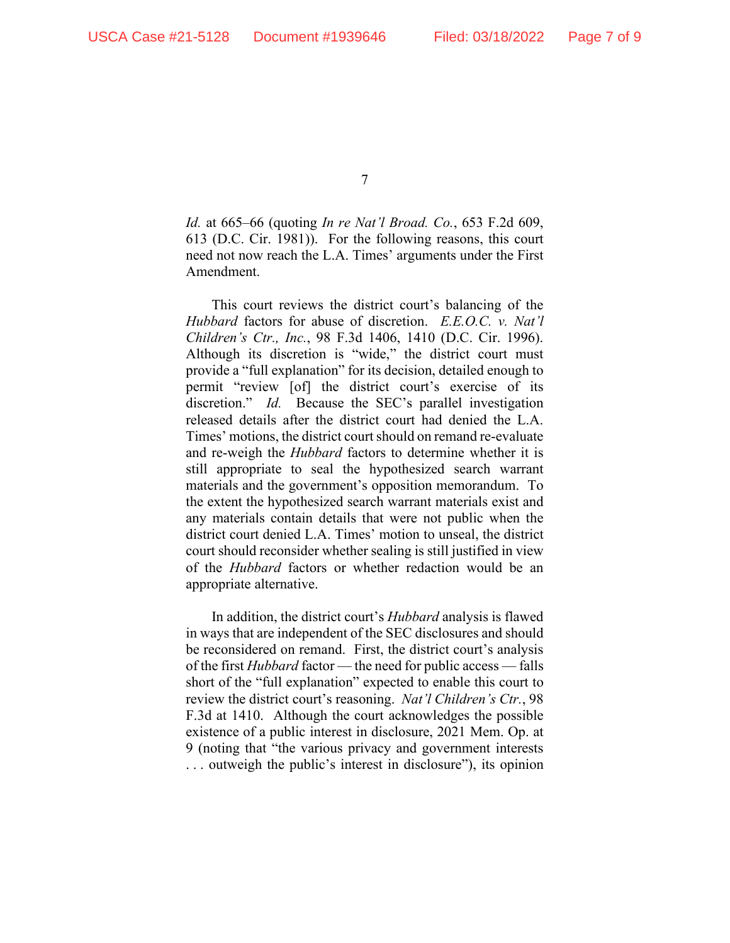*Id.* at 665–66 (quoting *In re Nat'l Broad. Co.*, 653 F.2d 609, 613 (D.C. Cir. 1981)). For the following reasons, this court need not now reach the L.A. Times' arguments under the First Amendment.

This court reviews the district court's balancing of the *Hubbard* factors for abuse of discretion. *E.E.O.C. v. Nat'l Children's Ctr., Inc.*, 98 F.3d 1406, 1410 (D.C. Cir. 1996). Although its discretion is "wide," the district court must provide a "full explanation" for its decision, detailed enough to permit "review [of] the district court's exercise of its discretion." *Id.* Because the SEC's parallel investigation released details after the district court had denied the L.A. Times' motions, the district court should on remand re-evaluate and re-weigh the *Hubbard* factors to determine whether it is still appropriate to seal the hypothesized search warrant materials and the government's opposition memorandum. To the extent the hypothesized search warrant materials exist and any materials contain details that were not public when the district court denied L.A. Times' motion to unseal, the district court should reconsider whether sealing is still justified in view of the *Hubbard* factors or whether redaction would be an appropriate alternative.

In addition, the district court's *Hubbard* analysis is flawed in ways that are independent of the SEC disclosures and should be reconsidered on remand. First, the district court's analysis of the first *Hubbard* factor — the need for public access — falls short of the "full explanation" expected to enable this court to review the district court's reasoning. *Nat'l Children's Ctr.*, 98 F.3d at 1410. Although the court acknowledges the possible existence of a public interest in disclosure, 2021 Mem. Op. at 9 (noting that "the various privacy and government interests . . . outweigh the public's interest in disclosure"), its opinion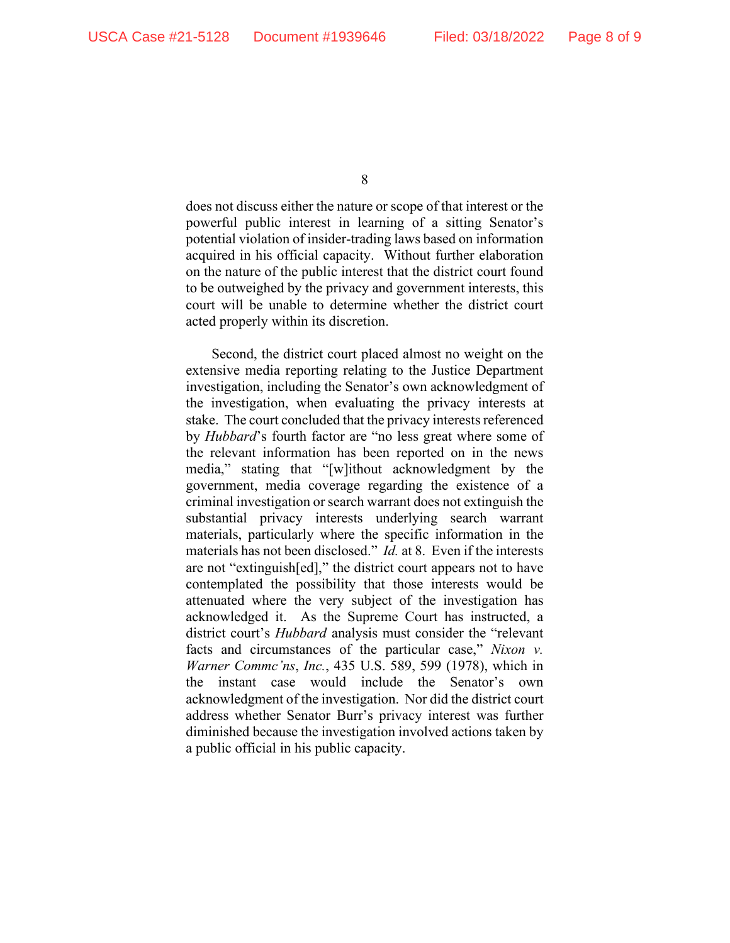does not discuss either the nature or scope of that interest or the powerful public interest in learning of a sitting Senator's potential violation of insider-trading laws based on information acquired in his official capacity. Without further elaboration on the nature of the public interest that the district court found to be outweighed by the privacy and government interests, this court will be unable to determine whether the district court acted properly within its discretion.

Second, the district court placed almost no weight on the extensive media reporting relating to the Justice Department investigation, including the Senator's own acknowledgment of the investigation, when evaluating the privacy interests at stake. The court concluded that the privacy interests referenced by *Hubbard*'s fourth factor are "no less great where some of the relevant information has been reported on in the news media," stating that "[w]ithout acknowledgment by the government, media coverage regarding the existence of a criminal investigation or search warrant does not extinguish the substantial privacy interests underlying search warrant materials, particularly where the specific information in the materials has not been disclosed." *Id.* at 8. Even if the interests are not "extinguish[ed]," the district court appears not to have contemplated the possibility that those interests would be attenuated where the very subject of the investigation has acknowledged it. As the Supreme Court has instructed, a district court's *Hubbard* analysis must consider the "relevant facts and circumstances of the particular case," *Nixon v. Warner Commc'ns*, *Inc.*, 435 U.S. 589, 599 (1978), which in the instant case would include the Senator's own acknowledgment of the investigation. Nor did the district court address whether Senator Burr's privacy interest was further diminished because the investigation involved actions taken by a public official in his public capacity.